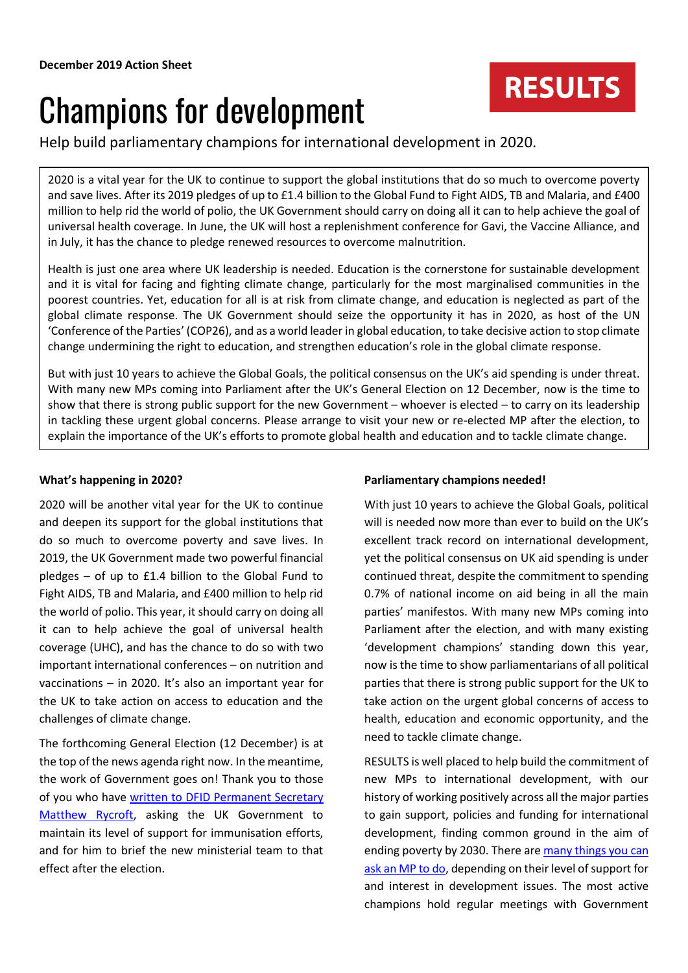# Champions for development

Help build parliamentary champions for international development in 2020.

2020 is a vital year for the UK to continue to support the global institutions that do so much to overcome poverty and save lives. After its 2019 pledges of up to £1.4 billion to the Global Fund to Fight AIDS, TB and Malaria, and £400 million to help rid the world of polio, the UK Government should carry on doing all it can to help achieve the goal of universal health coverage. In June, the UK will host a replenishment conference for Gavi, the Vaccine Alliance, and in July, it has the chance to pledge renewed resources to overcome malnutrition.

Health is just one area where UK leadership is needed. Education is the cornerstone for sustainable development and it is vital for facing and fighting climate change, particularly for the most marginalised communities in the poorest countries. Yet, education for all is at risk from climate change, and education is neglected as part of the global climate response. The UK Government should seize the opportunity it has in 2020, as host of the UN 'Conference of the Parties' (COP26), and as a world leader in global education, to take decisive action to stop climate change undermining the right to education, and strengthen education's role in the global climate response.

But with just 10 years to achieve the Global Goals, the political consensus on the UK's aid spending is under threat. With many new MPs coming into Parliament after the UK's General Election on 12 December, now is the time to show that there is strong public support for the new Government – whoever is elected – to carry on its leadership in tackling these urgent global concerns. Please arrange to visit your new or re-elected MP after the election, to explain the importance of the UK's efforts to promote global health and education and to tackle climate change.

## **What's happening in 2020?**

2020 will be another vital year for the UK to continue and deepen its support for the global institutions that do so much to overcome poverty and save lives. In 2019, the UK Government made two powerful financial pledges – of up to £1.4 billion to the Global Fund to Fight AIDS, TB and Malaria, and £400 million to help rid the world of polio. This year, it should carry on doing all it can to help achieve the goal of universal health coverage (UHC), and has the chance to do so with two important international conferences – on nutrition and vaccinations – in 2020. It's also an important year for the UK to take action on access to education and the challenges of climate change.

The forthcoming General Election (12 December) is at the top of the news agenda right now. In the meantime, the work of Government goes on! Thank you to those of you who have [written to DFID Permanent Secretary](https://www.results.org.uk/news/make-vaccineswork-every-child) [Matthew Rycroft,](https://www.results.org.uk/news/make-vaccineswork-every-child) asking the UK Government to maintain its level of support for immunisation efforts, and for him to brief the new ministerial team to that effect after the election.

## **Parliamentary champions needed!**

With just 10 years to achieve the Global Goals, political will is needed now more than ever to build on the UK's excellent track record on international development, yet the political consensus on UK aid spending is under continued threat, despite the commitment to spending 0.7% of national income on aid being in all the main parties' manifestos. With many new MPs coming into Parliament after the election, and with many existing 'development champions' standing down this year, now is the time to show parliamentarians of all political parties that there is strong public support for the UK to take action on the urgent global concerns of access to health, education and economic opportunity, and the need to tackle climate change.

**RESULTS** 

RESULTS is well placed to help build the commitment of new MPs to international development, with our history of working positively across all the major parties to gain support, policies and funding for international development, finding common ground in the aim of ending poverty by 2030. There ar[e many things](https://www.results.org.uk/sites/default/files/files/December%202019%20Background%20sheet%202.pdf) you can ask [an MP](https://www.results.org.uk/sites/default/files/files/December%202019%20Background%20sheet%202.pdf) to do, depending on their level of support for and interest in development issues. The most active champions hold regular meetings with Government